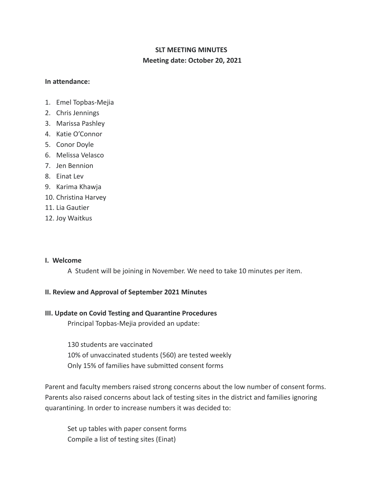## **SLT MEETING MINUTES Meeting date: October 20, 2021**

#### **In attendance:**

- 1. Emel Topbas-Mejia
- 2. Chris Jennings
- 3. Marissa Pashley
- 4. Katie O'Connor
- 5. Conor Doyle
- 6. Melissa Velasco
- 7. Jen Bennion
- 8. Einat Lev
- 9. Karima Khawja
- 10. Christina Harvey
- 11. Lia Gautier
- 12. Joy Waitkus

#### **I. Welcome**

A Student will be joining in November. We need to take 10 minutes per item.

#### **II. Review and Approval of September 2021 Minutes**

#### **III. Update on Covid Testing and Quarantine Procedures**

Principal Topbas-Mejia provided an update:

130 students are vaccinated 10% of unvaccinated students (560) are tested weekly Only 15% of families have submitted consent forms

Parent and faculty members raised strong concerns about the low number of consent forms. Parents also raised concerns about lack of testing sites in the district and families ignoring quarantining. In order to increase numbers it was decided to:

Set up tables with paper consent forms Compile a list of testing sites (Einat)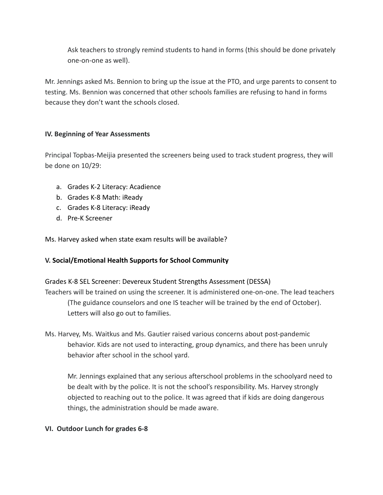Ask teachers to strongly remind students to hand in forms (this should be done privately one-on-one as well).

Mr. Jennings asked Ms. Bennion to bring up the issue at the PTO, and urge parents to consent to testing. Ms. Bennion was concerned that other schools families are refusing to hand in forms because they don't want the schools closed.

#### **IV. Beginning of Year Assessments**

Principal Topbas-Meijia presented the screeners being used to track student progress, they will be done on 10/29:

- a. Grades K-2 Literacy: Acadience
- b. Grades K-8 Math: iReady
- c. Grades K-8 Literacy: iReady
- d. Pre-K Screener

Ms. Harvey asked when state exam results will be available?

### **V. Social/Emotional Health Supports for School Community**

# Grades K-8 SEL Screener: Devereux Student Strengths Assessment (DESSA) Teachers will be trained on using the screener. It is administered one-on-one. The lead teachers (The guidance counselors and one IS teacher will be trained by the end of October). Letters will also go out to families.

Ms. Harvey, Ms. Waitkus and Ms. Gautier raised various concerns about post-pandemic behavior. Kids are not used to interacting, group dynamics, and there has been unruly behavior after school in the school yard.

Mr. Jennings explained that any serious afterschool problems in the schoolyard need to be dealt with by the police. It is not the school's responsibility. Ms. Harvey strongly objected to reaching out to the police. It was agreed that if kids are doing dangerous things, the administration should be made aware.

#### **VI. Outdoor Lunch for grades 6-8**